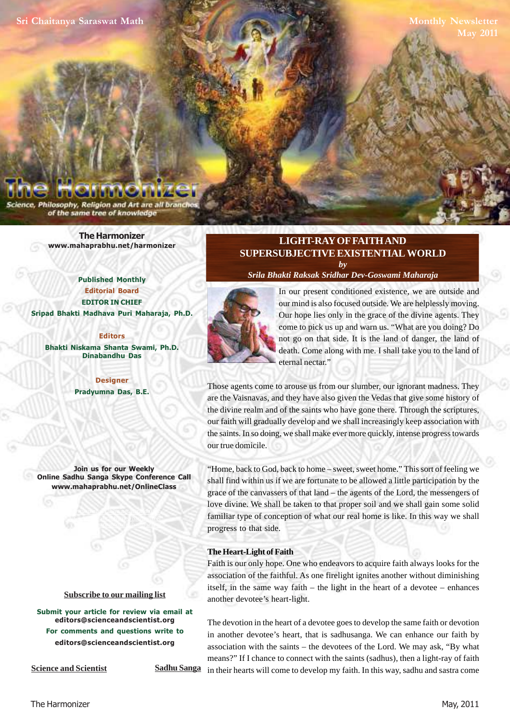Philosophy, Religion and Art are all branc of the same tree of knowledge

> **[The Harmonizer](http://www.mahaprabhu.net/harmonizer) www.mahaprabhu.net/harmonizer**

**Published Monthly Editorial Board EDITOR IN CHIEF [Sripad Bhakti Madhava Puri Maharaja, Ph.D.](http://mahaprabhu.net/sadhusanga/blog1.php/2009/10/01/affectionate-guardians)**

**Editors Bhakti Niskama Shanta Swami, Ph.D. Dinabandhu Das**

> **Designer Pradyumna Das, B.E.**

**Join us for our Weekly Online Sadhu Sanga Skype Conference Call www.mahaprabhu.net/OnlineClass**

> www.mahaprabhu.net/harmonizer www.mahaprabhu.net/harmonizer www.mahaprabhu.net/harmonizer

#### **<u>Subscribe to our mailing list</u>**

**Submit your article for review via email at editors@scienceandscientist.org For comments and questions write to editors@scienceandscientist.org**

**Science and Scientist Sadhu Sanga** 

# **LIGHT-RAY OF FAITH AND SUPERSUBJECTIVE EXISTENTIAL WORLD** *by*

*[Srila Bhakti Raksak Sridhar Dev-Goswami Maharaja](http://www.scsmath.com/docs/sridhar_maharaj.html)*



 . come to pick us up and warn us. "What are you doing? Do In our present conditioned existence, we are outside and our mind is also focused outside. We are helplessly moving. Our hope lies only in the grace of the divine agents. They not go on that side. It is the land of danger, the land of death. Come along with me. I shall take you to the land of eternal nectar."

Those agents come to arouse us from our slumber, our ignorant madness. They are the Vaisnavas, and they have also given the Vedas that give some history of the divine realm and of the saints who have gone there. Through the scriptures, our faith will gradually develop and we shall increasingly keep association with the saints. In so doing, we shall make ever more quickly, intense progress towards our true domicile.

"Home, back to God, back to home – sweet, sweet home." This sort of feeling we shall find within us if we are fortunate to be allowed a little participation by the grace of the canvassers of that land – the agents of the Lord, the messengers of love divine. We shall be taken to that proper soil and we shall gain some solid familiar type of conception of what our real home is like. In this way we shall progress to that side.

#### **The Heart-Light of Faith**

Faith is our only hope. One who endeavors to acquire faith always looks for the association of the faithful. As one firelight ignites another without diminishing itself, in the same way faith – the light in the heart of a devotee – enhances another devotee's heart-light.

The devotion in the heart of a devotee goes to develop the same faith or devotion in another devotee's heart, that is sadhusanga. We can enhance our faith by association with the saints – the devotees of the Lord. We may ask, "By what means?" If I chance to connect with the saints (sadhus), then a light-ray of faith in their hearts will come to develop my faith. In this way, sadhu and sastra come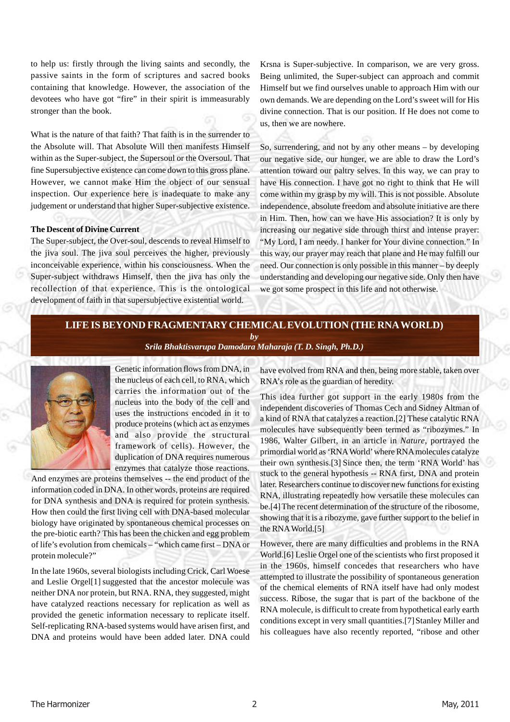to help us: firstly through the living saints and secondly, the passive saints in the form of scriptures and sacred books containing that knowledge. However, the association of the devotees who have got "fire" in their spirit is immeasurably stronger than the book.

What is the nature of that faith? That faith is in the surrender to the Absolute will. That Absolute Will then manifests Himself within as the Super-subject, the Supersoul or the Oversoul. That fine Supersubjective existence can come down to this gross plane. However, we cannot make Him the object of our sensual inspection. Our experience here is inadequate to make any judgement or understand that higher Super-subjective existence.

### **The Descent of Divine Current**

The Super-subject, the Over-soul, descends to reveal Himself to the jiva soul. The jiva soul perceives the higher, previously inconceivable experience, within his consciousness. When the Super-subject withdraws Himself, then the jiva has only the recollection of that experience. This is the ontological development of faith in that supersubjective existential world.

Krsna is Super-subjective. In comparison, we are very gross. Being unlimited, the Super-subject can approach and commit Himself but we find ourselves unable to approach Him with our own demands. We are depending on the Lord's sweet will for His divine connection. That is our position. If He does not come to us, then we are nowhere.

So, surrendering, and not by any other means – by developing our negative side, our hunger, we are able to draw the Lord's attention toward our paltry selves. In this way, we can pray to have His connection. I have got no right to think that He will come within my grasp by my will. This is not possible. Absolute independence, absolute freedom and absolute initiative are there in Him. Then, how can we have His association? It is only by increasing our negative side through thirst and intense prayer: "My Lord, I am needy. I hanker for Your divine connection." In this way, our prayer may reach that plane and He may fulfill our need. Our connection is only possible in this manner – by deeply understanding and developing our negative side. Only then have we got some prospect in this life and not otherwise.

# **LIFE IS BEYOND FRAGMENTARY CHEMICAL EVOLUTION (THE RNAWORLD)** *by*

*[Srila Bhaktisvarupa Damodara Maharaja \(T. D. Singh, Ph.D.\)](http://mahaprabhu.net/sadhusanga/blog1.php/2009/10/01/affectionate-guardians)*



Genetic information flows from DNA, in the nucleus of each cell, to RNA, which carries the information out of the nucleus into the body of the cell and uses the instructions encoded in it to produce proteins (which act as enzymes and also provide the structural framework of cells). However, the duplication of DNA requires numerous enzymes that catalyze those reactions.

And enzymes are proteins themselves -- the end product of the information coded in DNA. In other words, proteins are required for DNA synthesis and DNA is required for protein synthesis. How then could the first living cell with DNA-based molecular biology have originated by spontaneous chemical processes on the pre-biotic earth? This has been the chicken and egg problem of life's evolution from chemicals – "which came first – DNA or protein molecule?"

In the late 1960s, several biologists including Crick, Carl Woese and Leslie Orgel[1] suggested that the ancestor molecule was neither DNA nor protein, but RNA. RNA, they suggested, might have catalyzed reactions necessary for replication as well as provided the genetic information necessary to replicate itself. Self-replicating RNA-based systems would have arisen first, and DNA and proteins would have been added later. DNA could

have evolved from RNA and then, being more stable, taken over RNA's role as the guardian of heredity.

This idea further got support in the early 1980s from the independent discoveries of Thomas Cech and Sidney Altman of a kind of RNA that catalyzes a reaction.[2] These catalytic RNA molecules have subsequently been termed as "ribozymes." In 1986, Walter Gilbert, in an article in *Nature,* portrayed the primordial world as 'RNA World' where RNA molecules catalyze their own synthesis.[3] Since then, the term 'RNA World' has stuck to the general hypothesis -- RNA first, DNA and protein later. Researchers continue to discover new functions for existing RNA, illustrating repeatedly how versatile these molecules can be.[4]The recent determination of the structure of the ribosome, showing that it is a ribozyme, gave further support to the belief in the RNA World.[5]

However, there are many difficulties and problems in the RNA World.[6] Leslie Orgel one of the scientists who first proposed it in the 1960s, himself concedes that researchers who have attempted to illustrate the possibility of spontaneous generation of the chemical elements of RNA itself have had only modest success. Ribose, the sugar that is part of the backbone of the RNA molecule, is difficult to create from hypothetical early earth conditions except in very small quantities.[7] Stanley Miller and his colleagues have also recently reported, "ribose and other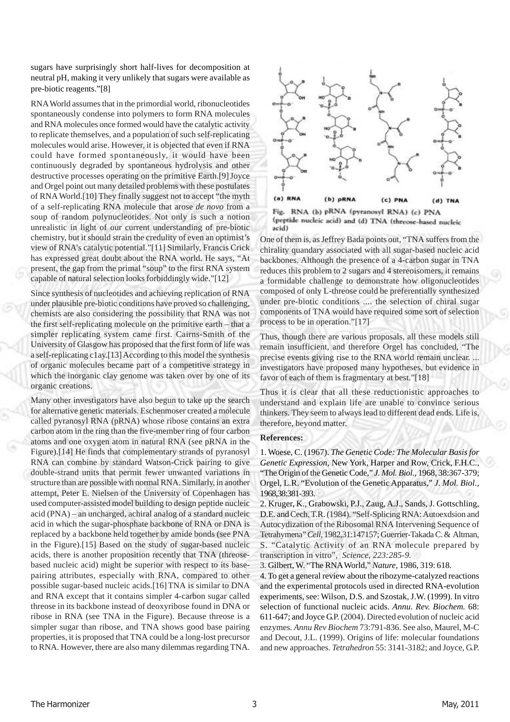sugars have surprisingly short half-lives for decomposition at neutral pH, making it very unlikely that sugars were available as pre-biotic reagents."[8]

RNA World assumes that in the primordial world, ribonucleotides spontaneously condense into polymers to form RNA molecules and RNA molecules once formed would have the catalytic activity to replicate themselves, and a population of such self-replicating molecules would arise. However, it is objected that even if RNA could have formed spontaneously, it would have been continuously degraded by spontaneous hydrolysis and other destructive processes operating on the primitive Earth.[9] Joyce and Orgel point out many detailed problems with these postulates of RNA World.[10] They finally suggest not to accept "the myth of a self-replicating RNA molecule that arose *de novo* from a soup of random polynucleotides. Not only is such a notion unrealistic in light of our current understanding of pre-biotic chemistry, but it should strain the credulity of even an optimist's view of RNA's catalytic potential."[11] Similarly, Francis Crick has expressed great doubt about the RNA world. He says, "At present, the gap from the primal "soup" to the first RNA system capable of natural selection looks forbiddingly wide."[12]

Since synthesis of nucleotides and achieving replication of RNA under plausible pre-biotic conditions have proved so challenging, chemists are also considering the possibility that RNA was not the first self-replicating molecule on the primitive earth – that a simpler replicating system came first. Cairns-Smith of the University of Glasgow has proposed that the first form of life was a self-replicating c1ay.[13] According to this model the synthesis of organic molecules became part of a competitive strategy in which the inorganic clay genome was taken over by one of its organic creations.

Many other investigators have also begun to take up the search for alternative genetic materials. Eschenmoser created a molecule called pyranosyl RNA (pRNA) whose ribose contains an extra carbon atom in the ring than the five-member ring of four carbon atoms and one oxygen atom in natural RNA (see pRNA in the Figure).[14] He finds that complementary strands of pyranosyl RNA can combine by standard Watson-Crick pairing to give double-strand units that permit fewer unwanted variations in structure than are possible with normal RNA. Similarly, in another attempt, Peter E. Nielsen of the University of Copenhagen has used computer-assisted model building to design peptide nucleic acid (PNA) – an uncharged, achiral analog of a standard nucleic acid in which the sugar-phosphate backbone of RNA or DNA is replaced by a backbone held together by amide bonds (see PNA in the Figure).[15] Based on the study of sugar-based nucleic acids, there is another proposition recently that TNA (threosebased nucleic acid) might be superior with respect to its basepairing attributes, especially with RNA, compared to other possible sugar-based nucleic acids.[16]TNA is similar to DNA and RNA except that it contains simpler 4-carbon sugar called threose in its backbone instead of deoxyribose found in DNA or ribose in RNA (see TNA in the Figure). Because threose is a simpler sugar than ribose, and TNA shows good base pairing properties, it is proposed that TNA could be a long-lost precursor to RNA. However, there are also many dilemmas regarding TNA.



Fig. RNA (b) pRNA (pyranosyl RNA) (c) PNA (peptide nucleic acid) and (d) TNA (threose-based nucleic acid)

One of them is, as Jeffrey Bada points out, "TNA suffers from the chirality quandary associated with all sugar-based nucleic acid backbones. Although the presence of a 4-carbon sugar in TNA reduces this problem to 2 sugars and 4 stereoisomers, it remains a formidable challenge to demonstrate how oligonucleotides composed of only L-threose could be preferentially synthesized under pre-biotic conditions .... the selection of chiral sugar components of TNA would have required some sort of selection process to be in operation."[17]

Thus, though there are various proposals, all these models still remain insufficient, and therefore Orgel has concluded, "The precise events giving rise to the RNA world remain unclear. ... investigators have proposed many hypotheses, but evidence in favor of each of them is fragmentary at best."[18]

Thus it is clear that all these reductionistic approaches to understand and explain life are unable to convince serious thinkers. They seem to always lead to different dead ends. Life is, therefore, beyond matter.

#### **References:**

1. Woese, C. (1967). *The Genetic Code: The Molecular Basis for Genetic Expression,* New York, Harper and Row, Crick, F.H.C., "The Origin of the Genetic Code," *J. Mol. Biol.,* 1968, 38:367-379; Orgel, L.R. "Evolution of the Genetic Apparatus," *J. Mol. Biol.,* 1968,38:381-393.

2. Kruger, K., Grabowski, P.J., Zaug, A.J., Sands, J. Gottschling, D.E. and Cech, T.R. (1984). "Self-Splicing RNA: Autoexdsion and Autocydization of the Ribosomal RNA Intervening Sequence of Tetrahymena" *Cell,* 1982,31:147157; Guerrier-Takada C. & Altman, S. "Catalytic Activity of an RNA molecule prepared by transcription in vitro", *Science, 223:285-9.*

3. Gilbert, W. "The RNA World," *Nature,* 1986, 319: 618.

4. To get a general review about the ribozyme-catalyzed reactions and the experimental protocols used in directed RNA-evolution experiments, see: Wilson, D.S. and Szostak, J.W. (1999). In vitro selection of functional nucleic acids. *Annu. Rev. Biochem.* 68: 611-647; and Joyce G.P. (2004). Directed evolution of nucleic acid enzymes. *Annu Rev Biochem* 73:791-836. See also, Maurel, M-C and Decout, J.L. (1999). Origins of life: molecular foundations and new approaches. *Tetrahedron* 55: 3141-3182; and Joyce, G.P.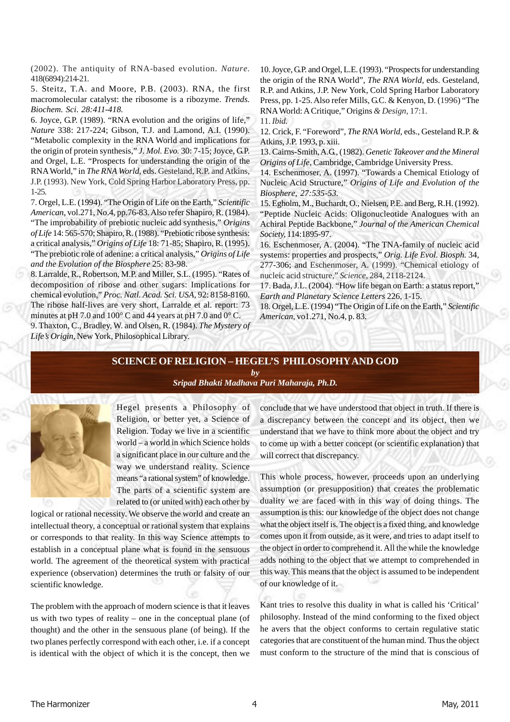(2002). The antiquity of RNA-based evolution. *Nature.* 418(6894):214-21.

5. Steitz, T.A. and Moore, P.B. (2003). RNA, the first macromolecular catalyst: the ribosome is a ribozyme. *Trends. Biochem. Sci. 28:411-418.*

6. Joyce, G.P. (1989). "RNA evolution and the origins of life," *Nature* 338: 217-224; Gibson, T.J. and Lamond, A.I. (1990). "Metabolic complexity in the RNA World and implications for the origin of protein synthesis," *J. Mol. Evo.* 30: 7-15; Joyce, G.P. and Orgel, L.E. "Prospects for understanding the origin of the RNA World," in *The RNA World,* eds. Gesteland, R.P. and Atkins, J.P. (1993). New York, Cold Spring Harbor Laboratory Press, pp. 1-25.

7. Orgel, L.E. (1994). "The Origin of Life on the Earth," *Scientific American,* vol.271, No.4, pp.76-83. Also refer Shapiro, R. (1984). "The improbability of prebiotic nucleic add synthesis," *Origins of Life* 14: 565-570; Shapiro, R. (1988). "Prebiotic ribose synthesis: a critical analysis," *Origins of Life* 18: 71-85; Shapiro, R. (1995). "The prebiotic role of adenine: a critical analysis," *Origins of Life and the Evolution of the Biosphere* 25: 83-98.

8. Larralde, R., Robertson, M.P. and Miller, S.L. (1995). "Rates of decomposition of ribose and other sugars: Implications for chemical evolution," *Proc. Natl. Acad. Sci. USA,* 92: 8158-8160. The ribose half-lives are very short, Larralde et al. report: 73 minutes at pH 7.0 and 100° C and 44 years at pH 7.0 and 0° C.

9. Thaxton, C., Bradley, W. and Olsen, R. (1984). *The Mystery of Life's Origin,* New York, Philosophical Library.

10. Joyce, G.P. and Orgel, L.E. (1993). "Prospects for understanding the origin of the RNA World", *The RNA World,* eds. Gesteland, R.P. and Atkins, J.P. New York, Cold Spring Harbor Laboratory Press, pp. 1-25. Also refer Mills, G.C. & Kenyon, D. (1996) "The RNA World: A Critique," Origins *& Design,* 17:1.

11. *Ibid.*

12. Crick, F. "Foreword", *The RNA World,* eds., Gesteland R.P. & Atkins, J.P. 1993, p. xiii.

13. Cairns-Smith, A.G., (1982). *Genetic Takeover and the Mineral Origins of Life,* Cambridge, Cambridge University Press.

14. Eschenmoser, A. (1997). "Towards a Chemical Etiology of Nucleic Acid Structure," *Origins of Life and Evolution of the Biosphere, 27:535-53.*

15. Egholm, M., Buchardt, O., Nielsen, P.E. and Berg, R.H. (1992). "Peptide Nucleic Acids: Oligonucleotide Analogues with an Achiral Peptide Backbone," *Journal of the American Chemical Society,* 114:1895-97.

16. Eschenmoser, A. (2004). "The TNA-family of nucleic acid systems: properties and prospects," *Orig. Life Evol. Biosph.* 34, 277-306; and Eschenmoser, A. (1999). "Chemical etiology of nucleic acid structure," *Science,* 284, 2118-2124.

17. Bada, J.L. (2004). "How life began on Earth: a status report," *Earth and Planetary Science Letters* 226, 1-15.

18. Orgel, L.E. (1994) "The Origin of Life on the Earth," *Scientific American,* vo1.271, No.4, p. 83.

## **SCIENCE OF RELIGION – HEGEL'S PHILOSOPHYAND GOD** *by [Sripad Bhakti Madhava Puri Maharaja, Ph.D.](http://mahaprabhu.net/sadhusanga/blog1.php/2009/10/01/affectionate-guardians)*



Hegel presents a Philosophy of Religion, or better yet, a Science of Religion. Today we live in a scientific world – a world in which Science holds a significant place in our culture and the way we understand reality. Science means "a rational system" of knowledge. The parts of a scientific system are related to (or united with) each other by

logical or rational necessity. We observe the world and create an intellectual theory, a conceptual or rational system that explains or corresponds to that reality. In this way Science attempts to establish in a conceptual plane what is found in the sensuous world. The agreement of the theoretical system with practical experience (observation) determines the truth or falsity of our scientific knowledge.

The problem with the approach of modern science is that it leaves us with two types of reality – one in the conceptual plane (of thought) and the other in the sensuous plane (of being). If the two planes perfectly correspond with each other, i.e. if a concept is identical with the object of which it is the concept, then we

conclude that we have understood that object in truth. If there is a discrepancy between the concept and its object, then we understand that we have to think more about the object and try to come up with a better concept (or scientific explanation) that will correct that discrepancy.

This whole process, however, proceeds upon an underlying assumption (or presupposition) that creates the problematic duality we are faced with in this way of doing things. The assumption is this: our knowledge of the object does not change what the object itself is. The object is a fixed thing, and knowledge comes upon it from outside, as it were, and tries to adapt itself to the object in order to comprehend it. All the while the knowledge adds nothing to the object that we attempt to comprehended in this way. This means that the object is assumed to be independent of our knowledge of it.

Kant tries to resolve this duality in what is called his 'Critical' philosophy. Instead of the mind conforming to the fixed object he avers that the object conforms to certain regulative static categories that are constituent of the human mind. Thus the object must conform to the structure of the mind that is conscious of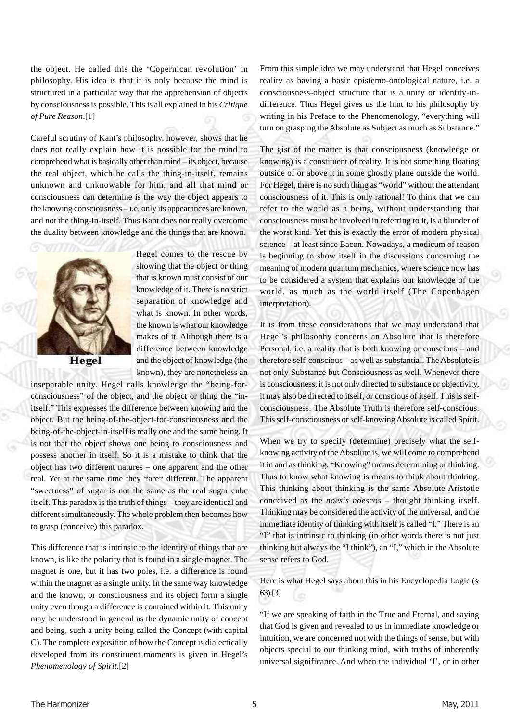the object. He called this the 'Copernican revolution' in philosophy. His idea is that it is only because the mind is structured in a particular way that the apprehension of objects by consciousness is possible. This is all explained in his *Critique of Pure Reason*.[1]

Careful scrutiny of Kant's philosophy, however, shows that he does not really explain how it is possible for the mind to comprehend what is basically other than mind – its object, because the real object, which he calls the thing-in-itself, remains unknown and unknowable for him, and all that mind or consciousness can determine is the way the object appears to the knowing consciousness – i.e. only its appearances are known, and not the thing-in-itself. Thus Kant does not really overcome the duality between knowledge and the things that are known.



separation of knowledge and what is known. In other words, the known is what our knowledge makes of it. Although there is a difference between knowledge and the object of knowledge (the known), they are nonetheless an

Hegel comes to the rescue by showing that the object or thing that is known must consist of our knowledge of it. There is no strict

inseparable unity. Hegel calls knowledge the "being-forconsciousness" of the object, and the object or thing the "initself." This expresses the difference between knowing and the object. But the being-of-the-object-for-consciousness and the being-of-the-object-in-itself is really one and the same being. It is not that the object shows one being to consciousness and possess another in itself. So it is a mistake to think that the object has two different natures – one apparent and the other real. Yet at the same time they \*are\* different. The apparent "sweetness" of sugar is not the same as the real sugar cube itself. This paradox is the truth of things – they are identical and different simultaneously. The whole problem then becomes how to grasp (conceive) this paradox.

This difference that is intrinsic to the identity of things that are known, is like the polarity that is found in a single magnet. The magnet is one, but it has two poles, i.e. a difference is found within the magnet as a single unity. In the same way knowledge and the known, or consciousness and its object form a single unity even though a difference is contained within it. This unity may be understood in general as the dynamic unity of concept and being, such a unity being called the Concept (with capital C). The complete exposition of how the Concept is dialectically developed from its constituent moments is given in Hegel's *Phenomenology of Spirit*.[2]

From this simple idea we may understand that Hegel conceives reality as having a basic epistemo-ontological nature, i.e. a consciousness-object structure that is a unity or identity-indifference. Thus Hegel gives us the hint to his philosophy by writing in his Preface to the Phenomenology, "everything will turn on grasping the Absolute as Subject as much as Substance."

The gist of the matter is that consciousness (knowledge or knowing) is a constituent of reality. It is not something floating outside of or above it in some ghostly plane outside the world. For Hegel, there is no such thing as "world" without the attendant consciousness of it. This is only rational! To think that we can refer to the world as a being, without understanding that consciousness must be involved in referring to it, is a blunder of the worst kind. Yet this is exactly the error of modern physical science – at least since Bacon. Nowadays, a modicum of reason is beginning to show itself in the discussions concerning the meaning of modern quantum mechanics, where science now has to be considered a system that explains our knowledge of the world, as much as the world itself (The Copenhagen interpretation).

It is from these considerations that we may understand that Hegel's philosophy concerns an Absolute that is therefore Personal, i.e. a reality that is both knowing or conscious – and therefore self-conscious – as well as substantial. The Absolute is not only Substance but Consciousness as well. Whenever there is consciousness, it is not only directed to substance or objectivity, it may also be directed to itself, or conscious of itself. This is selfconsciousness. The Absolute Truth is therefore self-conscious. This self-consciousness or self-knowing Absolute is called Spirit.

When we try to specify (determine) precisely what the selfknowing activity of the Absolute is, we will come to comprehend it in and as thinking. "Knowing" means determining or thinking. Thus to know what knowing is means to think about thinking. This thinking about thinking is the same Absolute Aristotle conceived as the *noesis noeseos* – thought thinking itself. Thinking may be considered the activity of the universal, and the immediate identity of thinking with itself is called "I." There is an "I" that is intrinsic to thinking (in other words there is not just thinking but always the "I think"), an "I," which in the Absolute sense refers to God.

## Here is what Hegel says about this in his Encyclopedia Logic (§ 63):[3]

"If we are speaking of faith in the True and Eternal, and saying that God is given and revealed to us in immediate knowledge or intuition, we are concerned not with the things of sense, but with objects special to our thinking mind, with truths of inherently universal significance. And when the individual 'I', or in other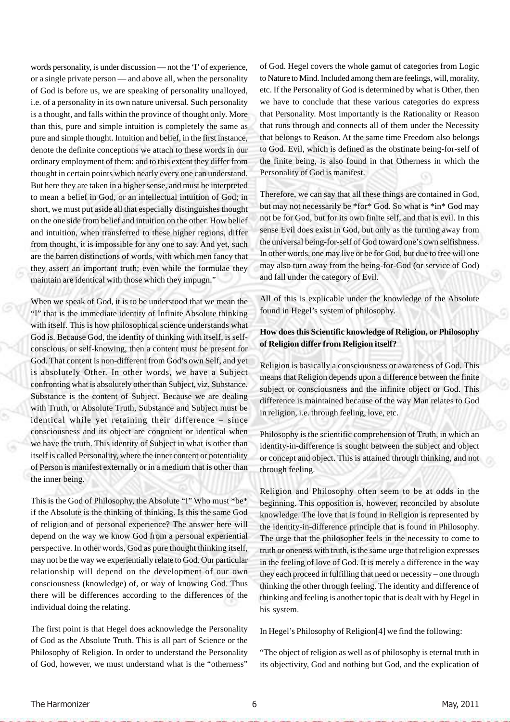words personality, is under discussion — not the 'I' of experience, or a single private person — and above all, when the personality of God is before us, we are speaking of personality unalloyed, i.e. of a personality in its own nature universal. Such personality is a thought, and falls within the province of thought only. More than this, pure and simple intuition is completely the same as pure and simple thought. Intuition and belief, in the first instance, denote the definite conceptions we attach to these words in our ordinary employment of them: and to this extent they differ from thought in certain points which nearly every one can understand. But here they are taken in a higher sense, and must be interpreted to mean a belief in God, or an intellectual intuition of God; in short, we must put aside all that especially distinguishes thought on the one side from belief and intuition on the other. How belief and intuition, when transferred to these higher regions, differ from thought, it is impossible for any one to say. And yet, such are the barren distinctions of words, with which men fancy that they assert an important truth; even while the formulae they maintain are identical with those which they impugn."

When we speak of God, it is to be understood that we mean the "I" that is the immediate identity of Infinite Absolute thinking with itself. This is how philosophical science understands what God is. Because God, the identity of thinking with itself, is selfconscious, or self-knowing, then a content must be present for God. That content is non-different from God's own Self, and yet is absolutely Other. In other words, we have a Subject confronting what is absolutely other than Subject, viz. Substance. Substance is the content of Subject. Because we are dealing with Truth, or Absolute Truth, Substance and Subject must be identical while yet retaining their difference – since consciousness and its object are congruent or identical when we have the truth. This identity of Subject in what is other than itself is called Personality, where the inner content or potentiality of Person is manifest externally or in a medium that is other than the inner being.

This is the God of Philosophy, the Absolute "I" Who must \*be\* if the Absolute is the thinking of thinking. Is this the same God of religion and of personal experience? The answer here will depend on the way we know God from a personal experiential perspective. In other words, God as pure thought thinking itself, may not be the way we experientially relate to God. Our particular relationship will depend on the development of our own consciousness (knowledge) of, or way of knowing God. Thus there will be differences according to the differences of the individual doing the relating.

The first point is that Hegel does acknowledge the Personality of God as the Absolute Truth. This is all part of Science or the Philosophy of Religion. In order to understand the Personality of God, however, we must understand what is the "otherness"

of God. Hegel covers the whole gamut of categories from Logic to Nature to Mind. Included among them are feelings, will, morality, etc. If the Personality of God is determined by what is Other, then we have to conclude that these various categories do express that Personality. Most importantly is the Rationality or Reason that runs through and connects all of them under the Necessity that belongs to Reason. At the same time Freedom also belongs to God. Evil, which is defined as the obstinate being-for-self of the finite being, is also found in that Otherness in which the Personality of God is manifest.

Therefore, we can say that all these things are contained in God, but may not necessarily be \*for\* God. So what is \*in\* God may not be for God, but for its own finite self, and that is evil. In this sense Evil does exist in God, but only as the turning away from the universal being-for-self of God toward one's own selfishness. In other words, one may live or be for God, but due to free will one may also turn away from the being-for-God (or service of God) and fall under the category of Evil.

All of this is explicable under the knowledge of the Absolute found in Hegel's system of philosophy.

## **How does this Scientific knowledge of Religion, or Philosophy of Religion differ from Religion itself?**

Religion is basically a consciousness or awareness of God. This means that Religion depends upon a difference between the finite subject or consciousness and the infinite object or God. This difference is maintained because of the way Man relates to God in religion, i.e. through feeling, love, etc.

Philosophy is the scientific comprehension of Truth, in which an identity-in-difference is sought between the subject and object or concept and object. This is attained through thinking, and not through feeling.

Religion and Philosophy often seem to be at odds in the beginning. This opposition is, however, reconciled by absolute knowledge. The love that is found in Religion is represented by the identity-in-difference principle that is found in Philosophy. The urge that the philosopher feels in the necessity to come to truth or oneness with truth, is the same urge that religion expresses in the feeling of love of God. It is merely a difference in the way they each proceed in fulfilling that need or necessity – one through thinking the other through feeling. The identity and difference of thinking and feeling is another topic that is dealt with by Hegel in his system.

In Hegel's Philosophy of Religion[4] we find the following:

"The object of religion as well as of philosophy is eternal truth in its objectivity, God and nothing but God, and the explication of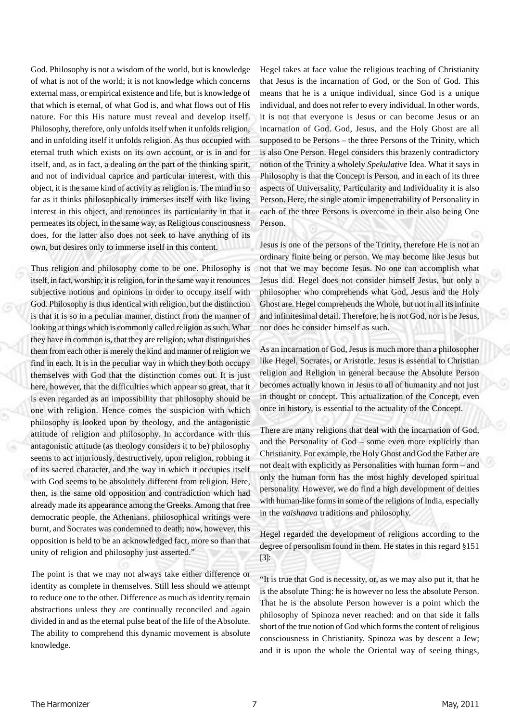God. Philosophy is not a wisdom of the world, but is knowledge of what is not of the world; it is not knowledge which concerns external mass, or empirical existence and life, but is knowledge of that which is eternal, of what God is, and what flows out of His nature. For this His nature must reveal and develop itself. Philosophy, therefore, only unfolds itself when it unfolds religion, and in unfolding itself it unfolds religion. As thus occupied with eternal truth which exists on its own account, or is in and for itself, and, as in fact, a dealing on the part of the thinking spirit, and not of individual caprice and particular interest, with this object, it is the same kind of activity as religion is. The mind in so far as it thinks philosophically immerses itself with like living interest in this object, and renounces its particularity in that it permeates its object, in the same way, as Religious consciousness does, for the latter also does not seek to have anything of its own, but desires only to immerse itself in this content.

Thus religion and philosophy come to be one. Philosophy is itself, in fact, worship; it is religion, for in the same way it renounces subjective notions and opinions in order to occupy itself with God. Philosophy is thus identical with religion, but the distinction is that it is so in a peculiar manner, distinct from the manner of looking at things which is commonly called religion as such. What they have in common is, that they are religion; what distinguishes them from each other is merely the kind and manner of religion we find in each. It is in the peculiar way in which they both occupy themselves with God that the distinction comes out. It is just here, however, that the difficulties which appear so great, that it is even regarded as an impossibility that philosophy should be one with religion. Hence comes the suspicion with which philosophy is looked upon by theology, and the antagonistic attitude of religion and philosophy. In accordance with this antagonistic attitude (as theology considers it to be) philosophy seems to act injuriously, destructively, upon religion, robbing it of its sacred character, and the way in which it occupies itself with God seems to be absolutely different from religion. Here, then, is the same old opposition and contradiction which had already made its appearance among the Greeks. Among that free democratic people, the Athenians, philosophical writings were burnt, and Socrates was condemned to death; now, however, this opposition is held to be an acknowledged fact, more so than that unity of religion and philosophy just asserted."

The point is that we may not always take either difference or identity as complete in themselves. Still less should we attempt to reduce one to the other. Difference as much as identity remain abstractions unless they are continually reconciled and again divided in and as the eternal pulse beat of the life of the Absolute. The ability to comprehend this dynamic movement is absolute knowledge.

Hegel takes at face value the religious teaching of Christianity that Jesus is the incarnation of God, or the Son of God. This means that he is a unique individual, since God is a unique individual, and does not refer to every individual. In other words, it is not that everyone is Jesus or can become Jesus or an incarnation of God. God, Jesus, and the Holy Ghost are all supposed to be Persons – the three Persons of the Trinity, which is also One Person. Hegel considers this brazenly contradictory notion of the Trinity a wholely *Spekulative* Idea. What it says in Philosophy is that the Concept is Person, and in each of its three aspects of Universality, Particularity and Individuality it is also Person. Here, the single atomic impenetrability of Personality in each of the three Persons is overcome in their also being One Person.

Jesus is one of the persons of the Trinity, therefore He is not an ordinary finite being or person. We may become like Jesus but not that we may become Jesus. No one can accomplish what Jesus did. Hegel does not consider himself Jesus, but only a philosopher who comprehends what God, Jesus and the Holy Ghost are. Hegel comprehends the Whole, but not in all its infinite and infinitesimal detail. Therefore, he is not God, nor is he Jesus, nor does he consider himself as such.

As an incarnation of God, Jesus is much more than a philosopher like Hegel, Socrates, or Aristotle. Jesus is essential to Christian religion and Religion in general because the Absolute Person becomes actually known in Jesus to all of humanity and not just in thought or concept. This actualization of the Concept, even once in history, is essential to the actuality of the Concept.

There are many religions that deal with the incarnation of God, and the Personality of God – some even more explicitly than Christianity. For example, the Holy Ghost and God the Father are not dealt with explicitly as Personalities with human form – and only the human form has the most highly developed spiritual personality. However, we do find a high development of deities with human-like forms in some of the religions of India, especially in the *vaishnava* traditions and philosophy.

Hegel regarded the development of religions according to the degree of personlism found in them. He states in this regard §151 [3]:

"It is true that God is necessity, or, as we may also put it, that he is the absolute Thing: he is however no less the absolute Person. That he is the absolute Person however is a point which the philosophy of Spinoza never reached: and on that side it falls short of the true notion of God which forms the content of religious consciousness in Christianity. Spinoza was by descent a Jew; and it is upon the whole the Oriental way of seeing things,